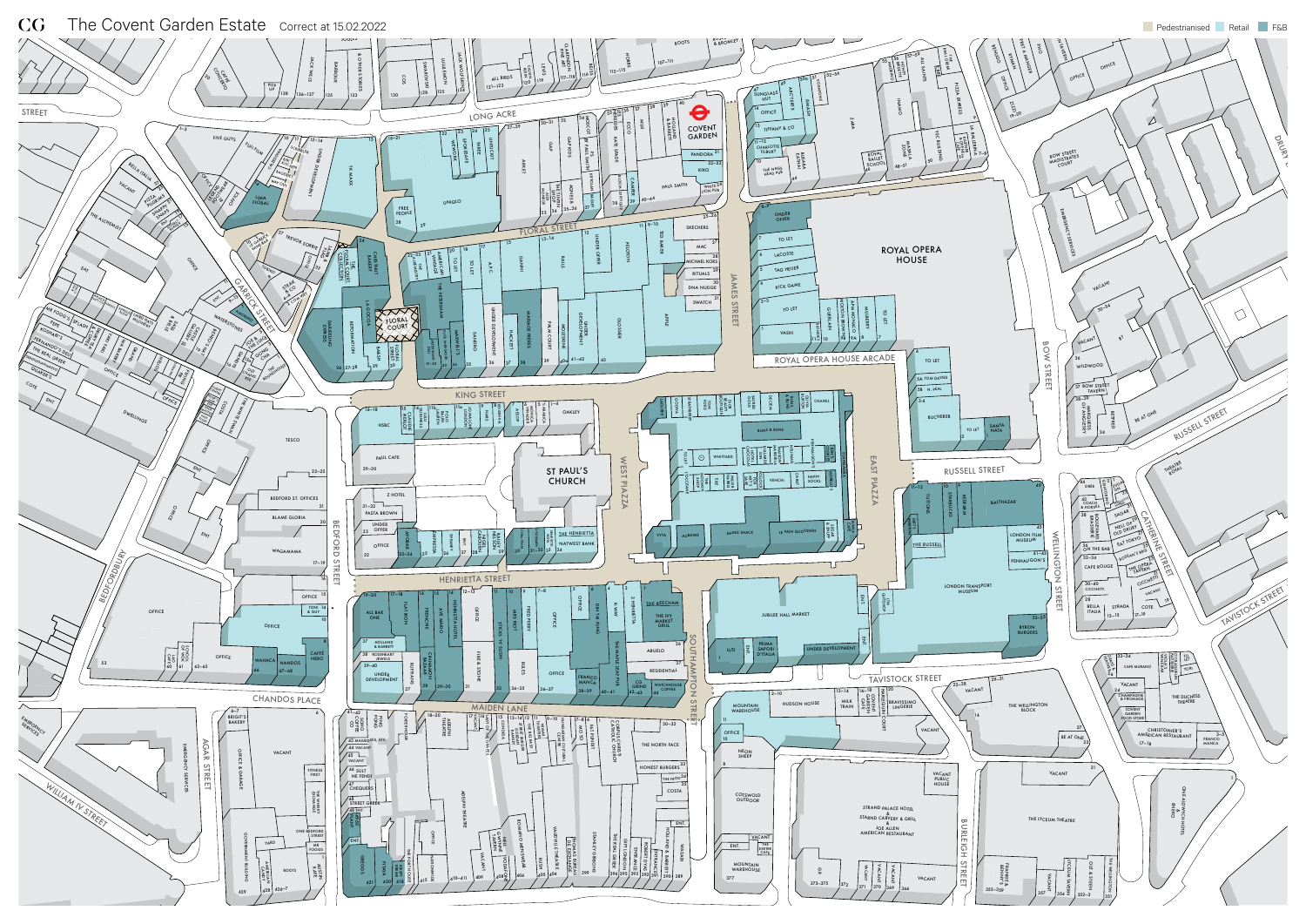